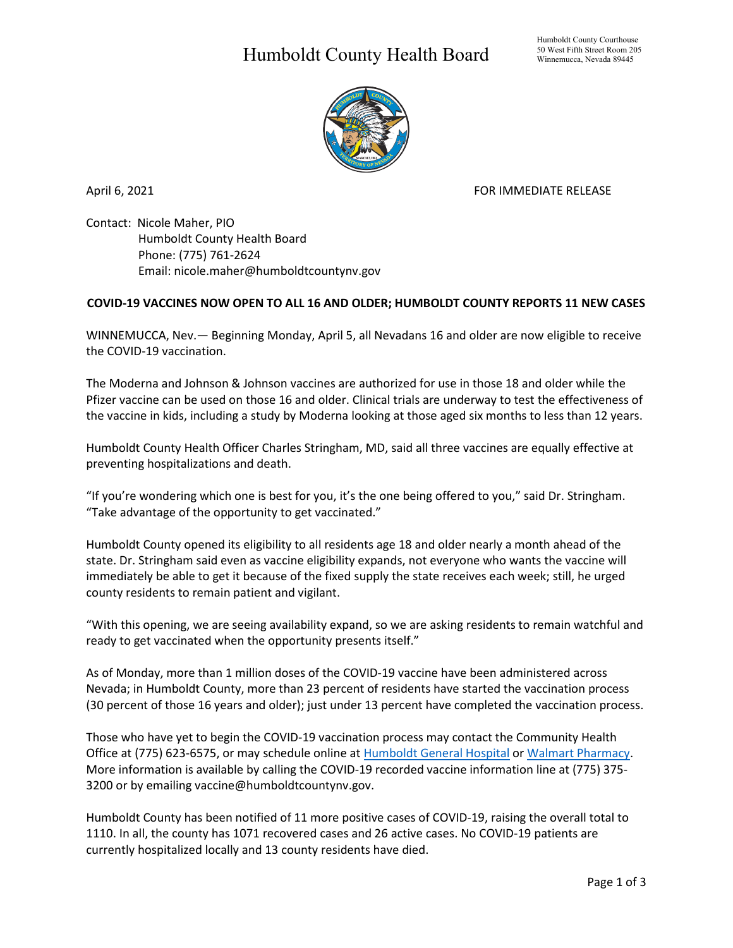## Humboldt County Health Board



April 6, 2021 **FOR IMMEDIATE RELEASE** 

Contact: Nicole Maher, PIO Humboldt County Health Board Phone: (775) 761-2624 Email: nicole.maher@humboldtcountynv.gov

## **COVID-19 VACCINES NOW OPEN TO ALL 16 AND OLDER; HUMBOLDT COUNTY REPORTS 11 NEW CASES**

WINNEMUCCA, Nev.— Beginning Monday, April 5, all Nevadans 16 and older are now eligible to receive the COVID-19 vaccination.

The Moderna and Johnson & Johnson vaccines are authorized for use in those 18 and older while the Pfizer vaccine can be used on those 16 and older. Clinical trials are underway to test the effectiveness of the vaccine in kids, including a study by Moderna looking at those aged six months to less than 12 years.

Humboldt County Health Officer Charles Stringham, MD, said all three vaccines are equally effective at preventing hospitalizations and death.

"If you're wondering which one is best for you, it's the one being offered to you," said Dr. Stringham. "Take advantage of the opportunity to get vaccinated."

Humboldt County opened its eligibility to all residents age 18 and older nearly a month ahead of the state. Dr. Stringham said even as vaccine eligibility expands, not everyone who wants the vaccine will immediately be able to get it because of the fixed supply the state receives each week; still, he urged county residents to remain patient and vigilant.

"With this opening, we are seeing availability expand, so we are asking residents to remain watchful and ready to get vaccinated when the opportunity presents itself."

As of Monday, more than 1 million doses of the COVID-19 vaccine have been administered across Nevada; in Humboldt County, more than 23 percent of residents have started the vaccination process (30 percent of those 16 years and older); just under 13 percent have completed the vaccination process.

Those who have yet to begin the COVID-19 vaccination process may contact the Community Health Office at (775) 623-6575, or may schedule online at [Humboldt General Hospital](https://www.hghospital.org/patients-and-visitors/covid-19-vaccine-clinics/) or [Walmart Pharmacy.](https://www.walmart.com/COVIDvaccine) More information is available by calling the COVID-19 recorded vaccine information line at (775) 375- 3200 or by emailing vaccine@humboldtcountynv.gov.

Humboldt County has been notified of 11 more positive cases of COVID-19, raising the overall total to 1110. In all, the county has 1071 recovered cases and 26 active cases. No COVID-19 patients are currently hospitalized locally and 13 county residents have died.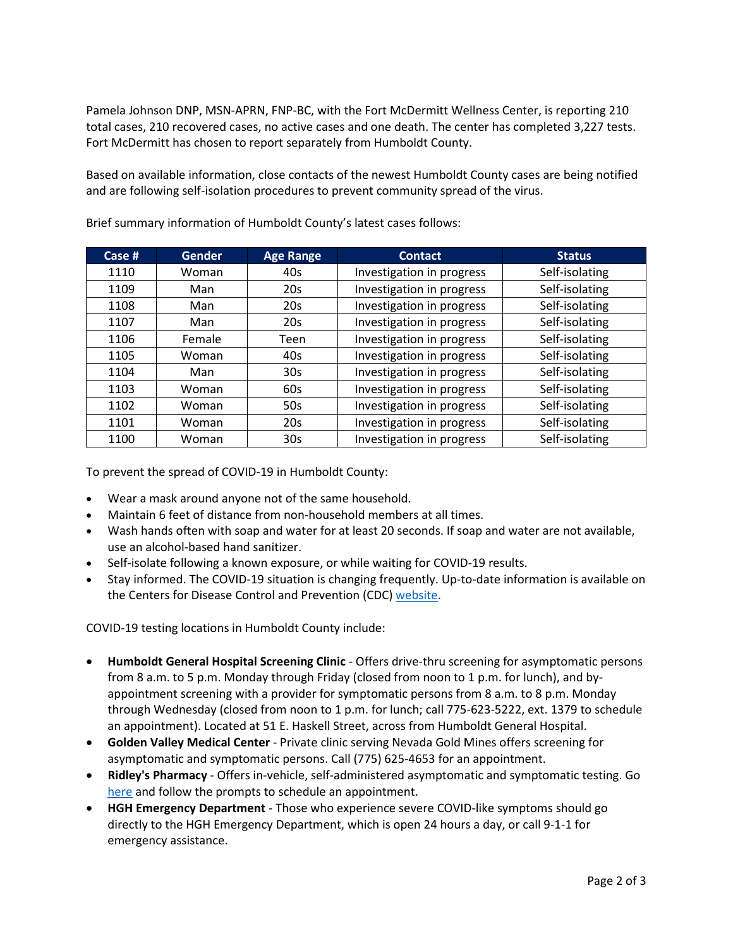Pamela Johnson DNP, MSN-APRN, FNP-BC, with the Fort McDermitt Wellness Center, is reporting 210 total cases, 210 recovered cases, no active cases and one death. The center has completed 3,227 tests. Fort McDermitt has chosen to report separately from Humboldt County.

Based on available information, close contacts of the newest Humboldt County cases are being notified and are following self-isolation procedures to prevent community spread of the virus.

| Case # | <b>Gender</b> | <b>Age Range</b> | <b>Contact</b>            | <b>Status</b>  |
|--------|---------------|------------------|---------------------------|----------------|
| 1110   | Woman         | 40s              | Investigation in progress | Self-isolating |
| 1109   | Man           | 20 <sub>s</sub>  | Investigation in progress | Self-isolating |
| 1108   | Man           | 20s              | Investigation in progress | Self-isolating |
| 1107   | Man           | 20s              | Investigation in progress | Self-isolating |
| 1106   | Female        | Teen             | Investigation in progress | Self-isolating |
| 1105   | Woman         | 40s              | Investigation in progress | Self-isolating |
| 1104   | Man           | 30 <sub>s</sub>  | Investigation in progress | Self-isolating |
| 1103   | Woman         | 60s              | Investigation in progress | Self-isolating |
| 1102   | Woman         | 50s              | Investigation in progress | Self-isolating |
| 1101   | Woman         | 20s              | Investigation in progress | Self-isolating |
| 1100   | Woman         | 30 <sub>s</sub>  | Investigation in progress | Self-isolating |

Brief summary information of Humboldt County's latest cases follows:

To prevent the spread of COVID-19 in Humboldt County:

- Wear a mask around anyone not of the same household.
- Maintain 6 feet of distance from non-household members at all times.
- Wash hands often with soap and water for at least 20 seconds. If soap and water are not available, use an alcohol-based hand sanitizer.
- Self-isolate following a known exposure, or while waiting for COVID-19 results.
- Stay informed. The COVID-19 situation is changing frequently. Up-to-date information is available on the Centers for Disease Control and Prevention (CDC) [website.](http://www.cdc.gov/coronavirus/2019-ncov/index.html)

COVID-19 testing locations in Humboldt County include:

- **Humboldt General Hospital Screening Clinic** Offers drive-thru screening for asymptomatic persons from 8 a.m. to 5 p.m. Monday through Friday (closed from noon to 1 p.m. for lunch), and byappointment screening with a provider for symptomatic persons from 8 a.m. to 8 p.m. Monday through Wednesday (closed from noon to 1 p.m. for lunch; call 775-623-5222, ext. 1379 to schedule an appointment). Located at 51 E. Haskell Street, across from Humboldt General Hospital.
- **Golden Valley Medical Center** Private clinic serving Nevada Gold Mines offers screening for asymptomatic and symptomatic persons. Call (775) 625-4653 for an appointment.
- **Ridley's Pharmacy** Offers in-vehicle, self-administered asymptomatic and symptomatic testing. Go [here](https://www.doineedacovid19test.com/Winnemucca_NV_1098.html) and follow the prompts to schedule an appointment.
- **HGH Emergency Department**  Those who experience severe COVID-like symptoms should go directly to the HGH Emergency Department, which is open 24 hours a day, or call 9-1-1 for emergency assistance.